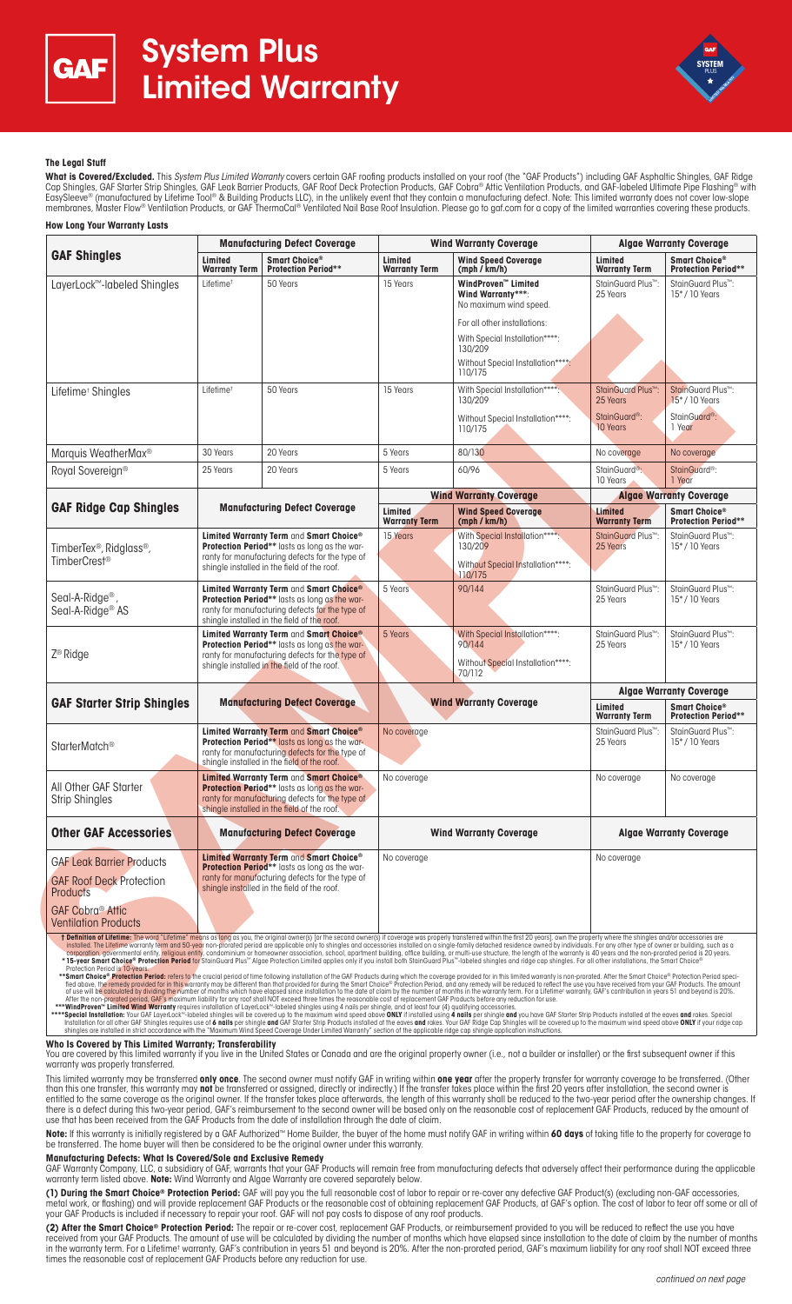



### **The Legal Stuff**

**What is Covered/Excluded.** This *System Plus Limited Warranty* covers certain GAF roofing products installed on your roof (the "GAF Products") including GAF Asphaltic Shingles, GAF Ridge<br>Cap Shingles, GAF Starter Strip Sh EasySleeve® (manufactured by Lifetime Tool® & Building Products LLC), in the unlikely event that they contain a manufacturing defect. Note: This limited warranty does not cover low-slope membranes, Master Flow® Ventilation Products, or GAF ThermaCal® Ventilated Nail Base Roof Insulation. Please go to gaf.com for a copy of the limited warranties covering these products. **How Long Your Warranty Lasts**

| <b>GAF Shingles</b>                                                                                                                                                                                                                                                                                                                                                                                                                                                                                                                                                                                | <b>Manufacturing Defect Coverage</b>                                                                                                                                                              |                                                                                                                                             | <b>Wind Warranty Coverage</b>   |                                                                                                                                                                                                                                                                                                                                                                                                                                                                                                                                                                                                                                                                                                                                                                                                                                                                                                                                     | <b>Algae Warranty Coverage</b>             |                                                         |
|----------------------------------------------------------------------------------------------------------------------------------------------------------------------------------------------------------------------------------------------------------------------------------------------------------------------------------------------------------------------------------------------------------------------------------------------------------------------------------------------------------------------------------------------------------------------------------------------------|---------------------------------------------------------------------------------------------------------------------------------------------------------------------------------------------------|---------------------------------------------------------------------------------------------------------------------------------------------|---------------------------------|-------------------------------------------------------------------------------------------------------------------------------------------------------------------------------------------------------------------------------------------------------------------------------------------------------------------------------------------------------------------------------------------------------------------------------------------------------------------------------------------------------------------------------------------------------------------------------------------------------------------------------------------------------------------------------------------------------------------------------------------------------------------------------------------------------------------------------------------------------------------------------------------------------------------------------------|--------------------------------------------|---------------------------------------------------------|
|                                                                                                                                                                                                                                                                                                                                                                                                                                                                                                                                                                                                    | Limited<br><b>Warranty Term</b>                                                                                                                                                                   | Smart Choice <sup>®</sup><br><b>Protection Period**</b>                                                                                     | Limited<br><b>Warranty Term</b> | <b>Wind Speed Coverage</b><br>(mph / km/h)                                                                                                                                                                                                                                                                                                                                                                                                                                                                                                                                                                                                                                                                                                                                                                                                                                                                                          | Limited<br><b>Warranty Term</b>            | Smart Choice®<br><b>Protection Period**</b>             |
| LayerLock™-labeled Shingles                                                                                                                                                                                                                                                                                                                                                                                                                                                                                                                                                                        | Lifetime <sup>+</sup>                                                                                                                                                                             | 50 Years                                                                                                                                    | 15 Years                        | WindProven™ Limited<br>Wind Warranty***:<br>No maximum wind speed.                                                                                                                                                                                                                                                                                                                                                                                                                                                                                                                                                                                                                                                                                                                                                                                                                                                                  | StainGuard Plus™:<br>25 Years              | StainGuard Plus <sup>™</sup> :<br>15*/10 Years          |
|                                                                                                                                                                                                                                                                                                                                                                                                                                                                                                                                                                                                    |                                                                                                                                                                                                   |                                                                                                                                             |                                 | For all other installations:                                                                                                                                                                                                                                                                                                                                                                                                                                                                                                                                                                                                                                                                                                                                                                                                                                                                                                        |                                            |                                                         |
|                                                                                                                                                                                                                                                                                                                                                                                                                                                                                                                                                                                                    |                                                                                                                                                                                                   |                                                                                                                                             |                                 | With Special Installation****:<br>130/209                                                                                                                                                                                                                                                                                                                                                                                                                                                                                                                                                                                                                                                                                                                                                                                                                                                                                           |                                            |                                                         |
|                                                                                                                                                                                                                                                                                                                                                                                                                                                                                                                                                                                                    |                                                                                                                                                                                                   |                                                                                                                                             |                                 | Without Special Installation*****:<br>110/175                                                                                                                                                                                                                                                                                                                                                                                                                                                                                                                                                                                                                                                                                                                                                                                                                                                                                       |                                            |                                                         |
| Lifetime <sup>+</sup> Shingles                                                                                                                                                                                                                                                                                                                                                                                                                                                                                                                                                                     | Lifetime <sup>+</sup>                                                                                                                                                                             | 50 Years                                                                                                                                    | 15 Years                        | With Special Installation****.<br>130/209                                                                                                                                                                                                                                                                                                                                                                                                                                                                                                                                                                                                                                                                                                                                                                                                                                                                                           | StainGuard Plus <sup>™</sup> :<br>25 Years | StainGuard Plus <sup>™</sup> :<br>15*/10 Years          |
|                                                                                                                                                                                                                                                                                                                                                                                                                                                                                                                                                                                                    |                                                                                                                                                                                                   |                                                                                                                                             |                                 | Without Special Installation****:<br>110/175                                                                                                                                                                                                                                                                                                                                                                                                                                                                                                                                                                                                                                                                                                                                                                                                                                                                                        | StainGuard <sup>®</sup> :<br>10 Years      | StainGuard <sup>®</sup> :<br>1 Year                     |
| Marquis WeatherMax®                                                                                                                                                                                                                                                                                                                                                                                                                                                                                                                                                                                | 30 Years                                                                                                                                                                                          | 20 Years                                                                                                                                    | 5 Years                         | 80/130                                                                                                                                                                                                                                                                                                                                                                                                                                                                                                                                                                                                                                                                                                                                                                                                                                                                                                                              | No coverage                                | No coverage                                             |
| Royal Sovereign®                                                                                                                                                                                                                                                                                                                                                                                                                                                                                                                                                                                   | 25 Years                                                                                                                                                                                          | 20 Years                                                                                                                                    | 5 Years                         | 60/96                                                                                                                                                                                                                                                                                                                                                                                                                                                                                                                                                                                                                                                                                                                                                                                                                                                                                                                               | StainGuard <sup>®</sup> :<br>10 Years      | StainGuard <sup>®</sup> :<br>1 Year                     |
|                                                                                                                                                                                                                                                                                                                                                                                                                                                                                                                                                                                                    | <b>Manufacturing Defect Coverage</b>                                                                                                                                                              |                                                                                                                                             | <b>Wind Warranty Coverage</b>   |                                                                                                                                                                                                                                                                                                                                                                                                                                                                                                                                                                                                                                                                                                                                                                                                                                                                                                                                     | <b>Algae Warranty Coverage</b>             |                                                         |
| <b>GAF Ridge Cap Shingles</b>                                                                                                                                                                                                                                                                                                                                                                                                                                                                                                                                                                      |                                                                                                                                                                                                   |                                                                                                                                             | Limited<br><b>Warranty Term</b> | <b>Wind Speed Coverage</b><br>(mph / km/h)                                                                                                                                                                                                                                                                                                                                                                                                                                                                                                                                                                                                                                                                                                                                                                                                                                                                                          | Limited<br><b>Warranty Term</b>            | Smart Choice <sup>®</sup><br><b>Protection Period**</b> |
| TimberTex <sup>®</sup> , Ridglass <sup>®</sup> ,                                                                                                                                                                                                                                                                                                                                                                                                                                                                                                                                                   | Limited Warranty Term and Smart Choice®<br>Protection Period** lasts as long as the war-<br>ranty for manufacturing defects for the type of<br>shingle installed in the field of the roof.        |                                                                                                                                             | 15 Years                        | With Special Installation*****:<br>130/209                                                                                                                                                                                                                                                                                                                                                                                                                                                                                                                                                                                                                                                                                                                                                                                                                                                                                          | StainGuard Plus <sup>™</sup> :<br>25 Years | StainGuard Plus <sup>™</sup> :<br>$15^*$ / 10 Years     |
| TimberCrest <sup>®</sup>                                                                                                                                                                                                                                                                                                                                                                                                                                                                                                                                                                           |                                                                                                                                                                                                   |                                                                                                                                             |                                 | Without Special Installation****:<br>110/175                                                                                                                                                                                                                                                                                                                                                                                                                                                                                                                                                                                                                                                                                                                                                                                                                                                                                        |                                            |                                                         |
| Seal-A-Ridge <sup>®</sup> ,<br>Seal-A-Ridge <sup>®</sup> AS                                                                                                                                                                                                                                                                                                                                                                                                                                                                                                                                        | Limited Warranty Term and Smart Choice®<br><b>Protection Period**</b> lasts as long as the war-<br>ranty for manufacturing defects for the type of<br>shingle installed in the field of the roof. |                                                                                                                                             | 5 Years                         | 90/144                                                                                                                                                                                                                                                                                                                                                                                                                                                                                                                                                                                                                                                                                                                                                                                                                                                                                                                              | StainGuard Plus <sup>™</sup> :<br>25 Years | StainGuard Plus <sup>™</sup> :<br>15*/10 Years          |
| $Z^{\circledR}$ Ridge                                                                                                                                                                                                                                                                                                                                                                                                                                                                                                                                                                              |                                                                                                                                                                                                   | Limited Warranty Term and Smart Choice®<br>Protection Period** lasts as long as the war-<br>ranty for manufacturing defects for the type of | 5 Years                         | With Special Installation****:<br>90/144                                                                                                                                                                                                                                                                                                                                                                                                                                                                                                                                                                                                                                                                                                                                                                                                                                                                                            | StainGuard Plus™:<br>25 Years              | StainGuard Plus <sup>™</sup> :<br>15*/10 Years          |
|                                                                                                                                                                                                                                                                                                                                                                                                                                                                                                                                                                                                    | shingle installed in the field of the roof.                                                                                                                                                       |                                                                                                                                             |                                 | Without Special Installation****:<br>70/112                                                                                                                                                                                                                                                                                                                                                                                                                                                                                                                                                                                                                                                                                                                                                                                                                                                                                         |                                            |                                                         |
|                                                                                                                                                                                                                                                                                                                                                                                                                                                                                                                                                                                                    | <b>Manufacturing Defect Coverage</b>                                                                                                                                                              |                                                                                                                                             | <b>Wind Warranty Coverage</b>   |                                                                                                                                                                                                                                                                                                                                                                                                                                                                                                                                                                                                                                                                                                                                                                                                                                                                                                                                     | <b>Algae Warranty Coverage</b>             |                                                         |
| <b>GAF Starter Strip Shingles</b>                                                                                                                                                                                                                                                                                                                                                                                                                                                                                                                                                                  |                                                                                                                                                                                                   |                                                                                                                                             |                                 |                                                                                                                                                                                                                                                                                                                                                                                                                                                                                                                                                                                                                                                                                                                                                                                                                                                                                                                                     | Limited<br><b>Warranty Term</b>            | Smart Choice®<br><b>Protection Period**</b>             |
| StarterMatch <sup>®</sup>                                                                                                                                                                                                                                                                                                                                                                                                                                                                                                                                                                          | Limited Warranty Term and Smart Choice®<br>Protection Period** lasts as long as the war-<br>ranty for manufacturing defects for the type of<br>shingle installed in the field of the roof.        |                                                                                                                                             | No coverage                     |                                                                                                                                                                                                                                                                                                                                                                                                                                                                                                                                                                                                                                                                                                                                                                                                                                                                                                                                     | StainGuard Plus <sup>™</sup> :<br>25 Years | StainGuard Plus <sup>™</sup> :<br>$15^*$ / 10 Years     |
| All Other GAF Starter<br><b>Strip Shingles</b>                                                                                                                                                                                                                                                                                                                                                                                                                                                                                                                                                     | Limited Warranty Term and Smart Choice®<br><b>Protection Period**</b> lasts as long as the war-<br>ranty for manufacturing defects for the type of<br>shingle installed in the field of the roof. |                                                                                                                                             | No coverage                     |                                                                                                                                                                                                                                                                                                                                                                                                                                                                                                                                                                                                                                                                                                                                                                                                                                                                                                                                     | No coverage                                | No coverage                                             |
| <b>Other GAF Accessories</b>                                                                                                                                                                                                                                                                                                                                                                                                                                                                                                                                                                       | <b>Manufacturing Defect Coverage</b>                                                                                                                                                              |                                                                                                                                             | <b>Wind Warranty Coverage</b>   |                                                                                                                                                                                                                                                                                                                                                                                                                                                                                                                                                                                                                                                                                                                                                                                                                                                                                                                                     | <b>Algae Warranty Coverage</b>             |                                                         |
| <b>GAF Leak Barrier Products</b>                                                                                                                                                                                                                                                                                                                                                                                                                                                                                                                                                                   | Limited Warranty Term and Smart Choice®<br><b>Protection Period**</b> lasts as long as the war-<br>ranty for manufacturing defects for the type of<br>shingle installed in the field of the roof. |                                                                                                                                             | No coverage                     |                                                                                                                                                                                                                                                                                                                                                                                                                                                                                                                                                                                                                                                                                                                                                                                                                                                                                                                                     | No coverage                                |                                                         |
| <b>GAF Roof Deck Protection</b><br><b>Products</b>                                                                                                                                                                                                                                                                                                                                                                                                                                                                                                                                                 |                                                                                                                                                                                                   |                                                                                                                                             |                                 |                                                                                                                                                                                                                                                                                                                                                                                                                                                                                                                                                                                                                                                                                                                                                                                                                                                                                                                                     |                                            |                                                         |
| <b>GAF Cobra® Attic</b><br><b>Ventilation Products</b>                                                                                                                                                                                                                                                                                                                                                                                                                                                                                                                                             |                                                                                                                                                                                                   |                                                                                                                                             |                                 |                                                                                                                                                                                                                                                                                                                                                                                                                                                                                                                                                                                                                                                                                                                                                                                                                                                                                                                                     |                                            |                                                         |
| Profection Period is 10-years.                                                                                                                                                                                                                                                                                                                                                                                                                                                                                                                                                                     |                                                                                                                                                                                                   |                                                                                                                                             |                                 | t Definition of Lifetime: The word "Lifetime" means as long as you, the original owner(s) [or the second owner(s) if coverage was properly transferred within the first 20 years], own the property where the shingles and/or<br>installed. The Lifetime warranty term and 50-year non-prorated period are applicable only to shingles and accessories installed on a single-family detached residence owned by individuals. For any other type of owner or bui<br>corporation, governmental entity, religious entity, condominium or homeowner association, school, apartment building, office building, or multi-use structure, the length of the warranty is 40 years and the non-prorated per<br>* 15-year Smart Choice® Protection Period for StainGuard Plus™ Algae Protection Limited applies only if you install both StainGuard Plus™-labeled shingles and ridge cap shingles. For all other installations, the Smart Choi |                                            |                                                         |
| After the non-prorated period, GAF's maximum liability for any roof shall NOT exceed three times the reasonable cost of replacement GAF Products before any reduction for use.                                                                                                                                                                                                                                                                                                                                                                                                                     |                                                                                                                                                                                                   |                                                                                                                                             |                                 | **Smart Choice® Protection Period: refers to the crucial period of time following installation of the GAF Products during which the coverage provided for in this limited warranty is non-prorated. After the Smart Choice® Pr<br>fied above, the remedy provided for in this warranty may be different than that provided for during the Smart Choice® Protection Period, and any remedy will be reduced to reflect the use you have received from your GAF Pro<br>of use will be calculated by dividing the number of months which have elapsed since installation to the date of claim by the number of months in the warranty term. For a Lifetime <sup>†</sup> warranty, GAF's contribution in years 51                                                                                                                                                                                                                        |                                            |                                                         |
| ***WindProven™ Limited Wind Warranty requires installation of LayerLock™-labeled shingles using 4 nails per shingle, and at least four (4) qualifying accessories.<br>****Special Installation: Your GAF LayerLock <sup>w_</sup> labeled shingles will be covered up to the maximum wind speed above ONLY if installed using 4 nails per shingle and you have GAF Starter Strip Products installed at the eaves<br>shingles are installed in strict accordance with the "Maximum Wind Speed Coverage Under Limited Warranty" section of the applicable ridge cap shingle application instructions. |                                                                                                                                                                                                   |                                                                                                                                             |                                 | Installation for all other GAF Shingles requires use of 6 nails per shingle and GAF Starter Strip Products installed at the eaves and rakes. Your GAF Ridge Cap Shingles will be covered up to the maximum wind speed above ON                                                                                                                                                                                                                                                                                                                                                                                                                                                                                                                                                                                                                                                                                                      |                                            |                                                         |

#### **Who Is Covered by This Limited Warranty; Transferability**

You are covered by this limited warranty if you live in the United States or Canada and are the original property owner (i.e., not a builder or installer) or the first subsequent owner if this warranty was properly transferred.

This limited warranty may be transferred **only once**. The second owner must notify GAF in writing within **one year** after the property transfer for warranty coverage to be transferred. (Other than this one transfer, this warranty may **not** be transferred or assigned, directly or indirectly.) If the transfer takes place within the first 20 years after installation, the second owner is entitled to the same coverage as the original owner. If the transfer takes place afterwards, the length of this warranty shall be reduced to the two-year period after the ownership changes. If there is a defect during this two-year period, GAF's reimbursement to the second owner will be based only on the reasonable cost of replacement GAF Products, reduced by the amount of use that has been received from the GAF Products from the date of installation through the date of claim.

**Note:** If this warranty is initially registered by a GAF Authorized™ Home Builder, the buyer of the home must notify GAF in writing within **60 days** of taking title to the property for coverage to be transferred. The home buyer will then be considered to be the original owner under this warranty.

## **Manufacturing Defects: What Is Covered/Sole and Exclusive Remedy**

GAF Warranty Company, LLC, a subsidiary of GAF, warrants that your GAF Products will remain free from manufacturing defects that adversely affect their performance during the applicable<br>warranty term listed above. **Note:**

**(1) During the Smart Choice® Protection Period:** GAF will pay you the full reasonable cost of labor to repair or re-cover any defective GAF Product(s) (excluding non-GAF accessories, metal work, or flashing) and will provide replacement GAF Products or the reasonable cost of obtaining replacement GAF Products, at GAF's option. The cost of labor to tear off some or all of your GAF Products is included if necessary to repair your roof. GAF will not pay costs to dispose of any roof products.

**(2) After the Smart Choice® Protection Period:** The repair or re-cover cost, replacement GAF Products, or reimbursement provided to you will be reduced to reflect the use you have received from your GAF Products. The amount of use will be calculated by dividing the number of months which have elapsed since installation to the date of claim by the number of months<br>in the warranty term. For a Lifetime times the reasonable cost of replacement GAF Products before any reduction for use.